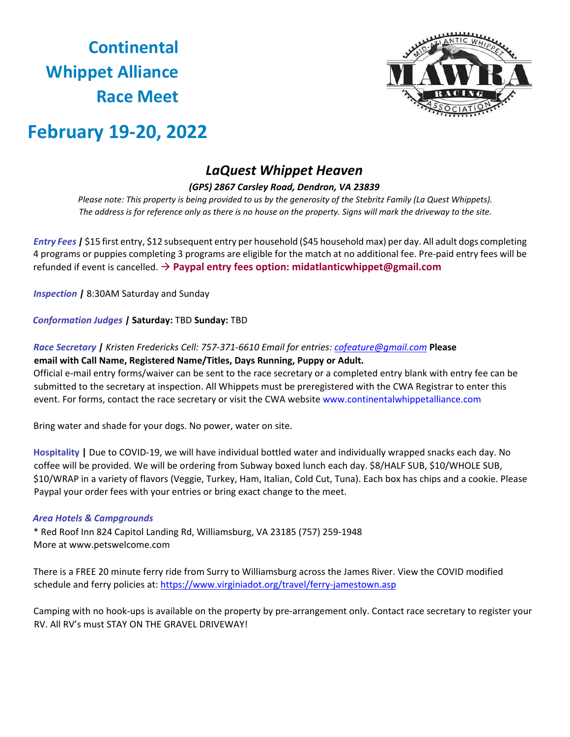# **Continental Whippet Alliance Race Meet**



## **February 19-20, 2022**

### *LaQuest Whippet Heaven*

#### *(GPS) 2867 Carsley Road, Dendron, VA 23839*

Please note: This property is being provided to us by the generosity of the Stebritz Family (La Quest Whippets). *The address is for reference only as there is no house on the property. Signs will mark the driveway to the site.* 

*Entry Fees |* \$15 first entry, \$12 subsequent entry per household (\$45 household max) per day. All adult dogs completing 4 programs or puppies completing 3 programs are eligible for the match at no additional fee. Pre-paid entry fees will be refunded if event is cancelled. **Paypal entry fees option: midatlanticwhippet@gmail.com** 

*Inspection |* 8:30AM Saturday and Sunday

*Conformation Judges |* **Saturday:** TBD **Sunday:** TBD

#### *Race Secretary | Kristen Fredericks Cell: 757-371-6610 Email for entries: cofeature@gmail.com* **Please email with Call Name, Registered Name/Titles, Days Running, Puppy or Adult.**

Official e-mail entry forms/waiver can be sent to the race secretary or a completed entry blank with entry fee can be submitted to the secretary at inspection. All Whippets must be preregistered with the CWA Registrar to enter this event. For forms, contact the race secretary or visit the CWA website [www.continentalwhippetalliance.com](http://www.continentalwhippetalliance.com/)

Bring water and shade for your dogs. No power, water on site.

**Hospitality |** Due to COVID-19, we will have individual bottled water and individually wrapped snacks each day. No coffee will be provided. We will be ordering from Subway boxed lunch each day. \$8/HALF SUB, \$10/WHOLE SUB, \$10/WRAP in a variety of flavors (Veggie, Turkey, Ham, Italian, Cold Cut, Tuna). Each box has chips and a cookie. Please Paypal your order fees with your entries or bring exact change to the meet.

#### *Area Hotels & Campgrounds*

\* Red Roof Inn 824 Capitol Landing Rd, Williamsburg, VA 23185 (757) 259-1948 More at [www.petswelcome.com](http://www.petswelcome.com/) 

There is a FREE 20 minute ferry ride from Surry to Williamsburg across the James River. View the COVID modified schedule and ferry policies at:<https://www.virginiadot.org/travel/ferry-jamestown.asp>

Camping with no hook-ups is available on the property by pre-arrangement only. Contact race secretary to register your RV. All RV's must STAY ON THE GRAVEL DRIVEWAY!